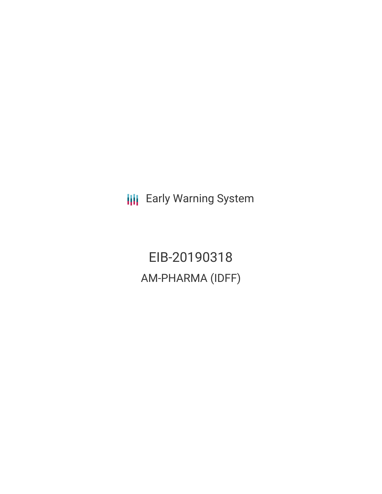**III** Early Warning System

EIB-20190318 AM-PHARMA (IDFF)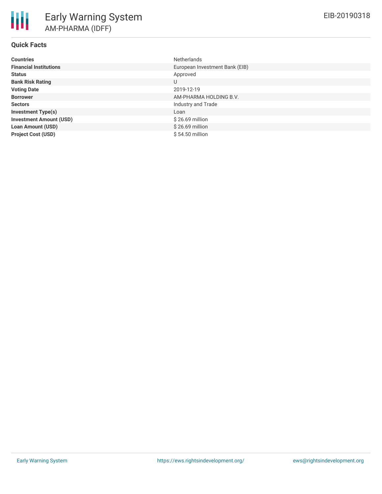# **Quick Facts**

| <b>Countries</b>               | <b>Netherlands</b>             |
|--------------------------------|--------------------------------|
| <b>Financial Institutions</b>  | European Investment Bank (EIB) |
| <b>Status</b>                  | Approved                       |
| <b>Bank Risk Rating</b>        | U                              |
| <b>Voting Date</b>             | 2019-12-19                     |
| <b>Borrower</b>                | AM-PHARMA HOLDING B.V.         |
| <b>Sectors</b>                 | Industry and Trade             |
| <b>Investment Type(s)</b>      | Loan                           |
| <b>Investment Amount (USD)</b> | \$26.69 million                |
| <b>Loan Amount (USD)</b>       | $$26.69$ million               |
| <b>Project Cost (USD)</b>      | \$54.50 million                |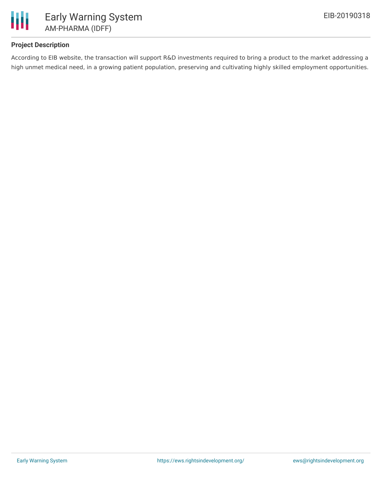

# **Project Description**

According to EIB website, the transaction will support R&D investments required to bring a product to the market addressing a high unmet medical need, in a growing patient population, preserving and cultivating highly skilled employment opportunities.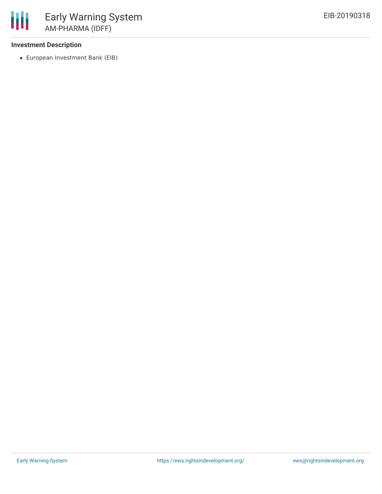### **Investment Description**

冊

European Investment Bank (EIB)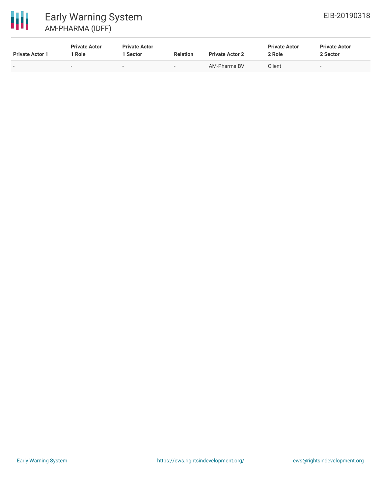



# Early Warning System AM-PHARMA (IDFF)

| <b>Private Actor 1</b>   | <b>Private Actor</b><br>' Role | <b>Private Actor</b><br>1 Sector | <b>Relation</b> | <b>Private Actor 2</b> | <b>Private Actor</b><br>2 Role | <b>Private Actor</b><br>2 Sector |
|--------------------------|--------------------------------|----------------------------------|-----------------|------------------------|--------------------------------|----------------------------------|
| $\overline{\phantom{0}}$ | $\overline{\phantom{a}}$       | $\sim$                           | $\sim$          | AM-Pharma BV           | Client                         | $\overline{\phantom{0}}$         |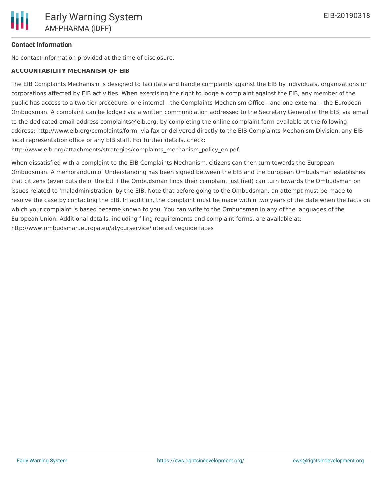### **Contact Information**

No contact information provided at the time of disclosure.

#### **ACCOUNTABILITY MECHANISM OF EIB**

The EIB Complaints Mechanism is designed to facilitate and handle complaints against the EIB by individuals, organizations or corporations affected by EIB activities. When exercising the right to lodge a complaint against the EIB, any member of the public has access to a two-tier procedure, one internal - the Complaints Mechanism Office - and one external - the European Ombudsman. A complaint can be lodged via a written communication addressed to the Secretary General of the EIB, via email to the dedicated email address complaints@eib.org, by completing the online complaint form available at the following address: http://www.eib.org/complaints/form, via fax or delivered directly to the EIB Complaints Mechanism Division, any EIB local representation office or any EIB staff. For further details, check:

http://www.eib.org/attachments/strategies/complaints\_mechanism\_policy\_en.pdf

When dissatisfied with a complaint to the EIB Complaints Mechanism, citizens can then turn towards the European Ombudsman. A memorandum of Understanding has been signed between the EIB and the European Ombudsman establishes that citizens (even outside of the EU if the Ombudsman finds their complaint justified) can turn towards the Ombudsman on issues related to 'maladministration' by the EIB. Note that before going to the Ombudsman, an attempt must be made to resolve the case by contacting the EIB. In addition, the complaint must be made within two years of the date when the facts on which your complaint is based became known to you. You can write to the Ombudsman in any of the languages of the European Union. Additional details, including filing requirements and complaint forms, are available at: http://www.ombudsman.europa.eu/atyourservice/interactiveguide.faces